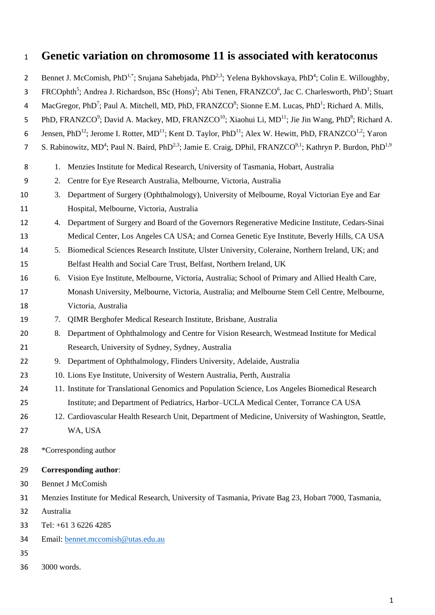# **Genetic variation on chromosome 11 is associated with keratoconus**

- 2 Bennet J. McComish, PhD<sup>1,\*</sup>; Srujana Sahebjada, PhD<sup>2,3</sup>; Yelena Bykhovskaya, PhD<sup>4</sup>; Colin E. Willoughby, 3 FRCOphth<sup>5</sup>; Andrea J. Richardson, BSc (Hons)<sup>2</sup>; Abi Tenen, FRANZCO<sup>6</sup>, Jac C. Charlesworth, PhD<sup>1</sup>; Stuart 4 MacGregor, PhD<sup>7</sup>; Paul A. Mitchell, MD, PhD, FRANZCO<sup>8</sup>; Sionne E.M. Lucas, PhD<sup>1</sup>; Richard A. Mills, 5 PhD, FRANZCO<sup>9</sup>; David A. Mackey, MD, FRANZCO<sup>10</sup>; Xiaohui Li, MD<sup>11</sup>; Jie Jin Wang, PhD<sup>8</sup>; Richard A. 6 Jensen, PhD<sup>12</sup>; Jerome I. Rotter, MD<sup>11</sup>; Kent D. Taylor, PhD<sup>11</sup>; Alex W. Hewitt, PhD, FRANZCO<sup>1,2</sup>; Yaron 5. Rabinowitz, MD<sup>4</sup>; Paul N. Baird, PhD<sup>2,3</sup>; Jamie E. Craig, DPhil, FRANZCO<sup>9,1</sup>; Kathryn P. Burdon, PhD<sup>1,9</sup> 1. Menzies Institute for Medical Research, University of Tasmania, Hobart, Australia 2. Centre for Eye Research Australia, Melbourne, Victoria, Australia 3. Department of Surgery (Ophthalmology), University of Melbourne, Royal Victorian Eye and Ear Hospital, Melbourne, Victoria, Australia 4. Department of Surgery and Board of the Governors Regenerative Medicine Institute, Cedars-Sinai Medical Center, Los Angeles CA USA; and Cornea Genetic Eye Institute, Beverly Hills, CA USA 5. Biomedical Sciences Research Institute, Ulster University, Coleraine, Northern Ireland, UK; and Belfast Health and Social Care Trust, Belfast, Northern Ireland, UK 6. Vision Eye Institute, Melbourne, Victoria, Australia; School of Primary and Allied Health Care, Monash University, Melbourne, Victoria, Australia; and Melbourne Stem Cell Centre, Melbourne, Victoria, Australia 7. QIMR Berghofer Medical Research Institute, Brisbane, Australia 8. Department of Ophthalmology and Centre for Vision Research, Westmead Institute for Medical Research, University of Sydney, Sydney, Australia 9. Department of Ophthalmology, Flinders University, Adelaide, Australia 10. Lions Eye Institute, University of Western Australia, Perth, Australia 11. Institute for Translational Genomics and Population Science, Los Angeles Biomedical Research Institute; and Department of Pediatrics, Harbor–UCLA Medical Center, Torrance CA USA 12. Cardiovascular Health Research Unit, Department of Medicine, University of Washington, Seattle, WA, USA \*Corresponding author **Corresponding author**: Bennet J McComish
- Menzies Institute for Medical Research, University of Tasmania, Private Bag 23, Hobart 7000, Tasmania,
- Australia
- Tel: +61 3 6226 4285
- Email: [bennet.mccomish@utas.edu.au](mailto:bennet.mccomish@utas.edu.au)
- 
- 3000 words.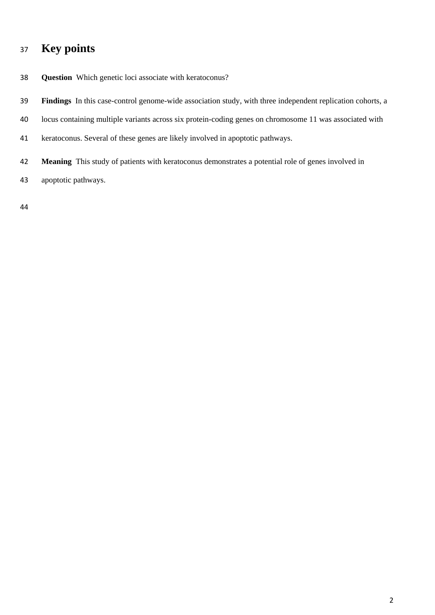# **Key points**

- **Question** Which genetic loci associate with keratoconus?
- **Findings** In this case-control genome-wide association study, with three independent replication cohorts, a
- locus containing multiple variants across six protein-coding genes on chromosome 11 was associated with
- keratoconus. Several of these genes are likely involved in apoptotic pathways.
- **Meaning** This study of patients with keratoconus demonstrates a potential role of genes involved in apoptotic pathways.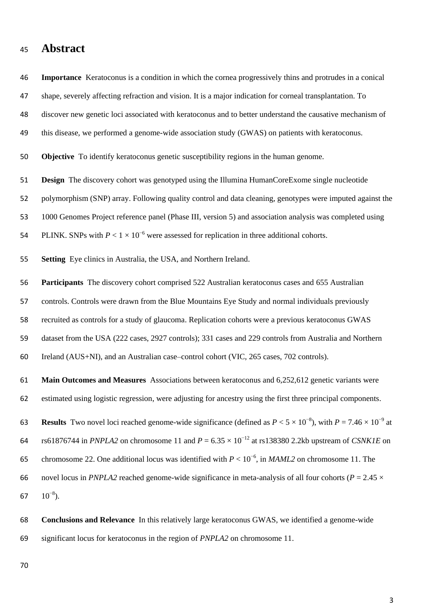## **Abstract**

**Importance** Keratoconus is a condition in which the cornea progressively thins and protrudes in a conical

shape, severely affecting refraction and vision. It is a major indication for corneal transplantation. To

discover new genetic loci associated with keratoconus and to better understand the causative mechanism of

this disease, we performed a genome-wide association study (GWAS) on patients with keratoconus.

**Objective** To identify keratoconus genetic susceptibility regions in the human genome.

**Design** The discovery cohort was genotyped using the Illumina HumanCoreExome single nucleotide

polymorphism (SNP) array. Following quality control and data cleaning, genotypes were imputed against the

1000 Genomes Project reference panel (Phase III, version 5) and association analysis was completed using

54 PLINK. SNPs with  $P < 1 \times 10^{-6}$  were assessed for replication in three additional cohorts.

**Setting** Eye clinics in Australia, the USA, and Northern Ireland.

**Participants** The discovery cohort comprised 522 Australian keratoconus cases and 655 Australian

controls. Controls were drawn from the Blue Mountains Eye Study and normal individuals previously

recruited as controls for a study of glaucoma. Replication cohorts were a previous keratoconus GWAS

dataset from the USA (222 cases, 2927 controls); 331 cases and 229 controls from Australia and Northern

Ireland (AUS+NI), and an Australian case–control cohort (VIC, 265 cases, 702 controls).

 **Main Outcomes and Measures** Associations between keratoconus and 6,252,612 genetic variants were estimated using logistic regression, were adjusting for ancestry using the first three principal components.

**Results** Two novel loci reached genome-wide significance (defined as  $P < 5 \times 10^{-8}$ ), with  $P = 7.46 \times 10^{-9}$  at

64 rs61876744 in *PNPLA2* on chromosome 11 and  $P = 6.35 \times 10^{-12}$  at rs138380 2.2kb upstream of *CSNK1E* on

65 chromosome 22. One additional locus was identified with  $P < 10^{-6}$ , in *MAML2* on chromosome 11. The

66 novel locus in *PNPLA2* reached genome-wide significance in meta-analysis of all four cohorts ( $P = 2.45 \times$ 

67  $10^{-8}$ ).

 **Conclusions and Relevance** In this relatively large keratoconus GWAS, we identified a genome-wide significant locus for keratoconus in the region of *PNPLA2* on chromosome 11.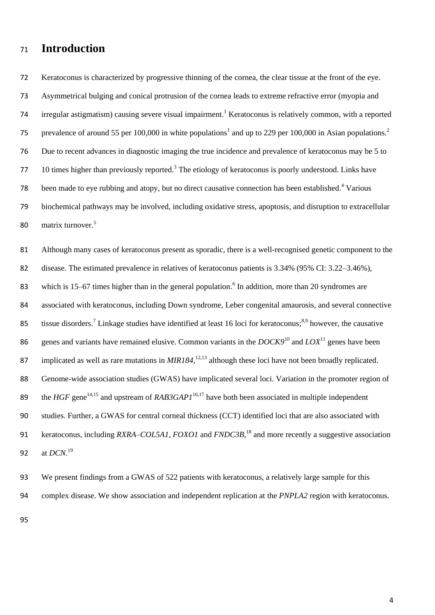# <sup>71</sup> **Introduction**

72 Keratoconus is characterized by progressive thinning of the cornea, the clear tissue at the front of the eye. 73 Asymmetrical bulging and conical protrusion of the cornea leads to extreme refractive error (myopia and 74 irregular astigmatism) causing severe visual impairment.<sup>1</sup> Keratoconus is relatively common, with a reported prevalence of around 55 per 100,000 in white populations<sup>1</sup> and up to 229 per 100,000 in Asian populations.<sup>2</sup> 75 76 Due to recent advances in diagnostic imaging the true incidence and prevalence of keratoconus may be 5 to 77  $\,$  10 times higher than previously reported.<sup>3</sup> The etiology of keratoconus is poorly understood. Links have 78 been made to eye rubbing and atopy, but no direct causative connection has been established.<sup>4</sup> Various 79 biochemical pathways may be involved, including oxidative stress, apoptosis, and disruption to extracellular matrix turnover.<sup>5</sup> 80

81 Although many cases of keratoconus present as sporadic, there is a well-recognised genetic component to the 82 disease. The estimated prevalence in relatives of keratoconus patients is 3.34% (95% CI: 3.22–3.46%), 83 which is 15–67 times higher than in the general population.<sup>6</sup> In addition, more than 20 syndromes are 84 associated with keratoconus, including Down syndrome, Leber congenital amaurosis, and several connective 85 tissue disorders.<sup>7</sup> Linkage studies have identified at least 16 loci for keratoconus;<sup>8,9</sup> however, the causative 86 genes and variants have remained elusive. Common variants in the *DOCK9*<sup>10</sup> and *LOX*<sup>11</sup> genes have been 87 implicated as well as rare mutations in *MIR184*,<sup>12,13</sup> although these loci have not been broadly replicated. 88 Genome-wide association studies (GWAS) have implicated several loci. Variation in the promoter region of the *HGF* gene<sup>14,15</sup> and upstream of *RAB3GAP1*<sup>16,17</sup> have both been associated in multiple independent 90 studies. Further, a GWAS for central corneal thickness (CCT) identified loci that are also associated with 91 keratoconus, including *RXRA–COL5A1, FOXO1* and *FNDC3B*,<sup>18</sup> and more recently a suggestive association 92 at *DCN*.<sup>19</sup>

<sup>93</sup> We present findings from a GWAS of 522 patients with keratoconus, a relatively large sample for this 94 complex disease. We show association and independent replication at the *PNPLA2* region with keratoconus.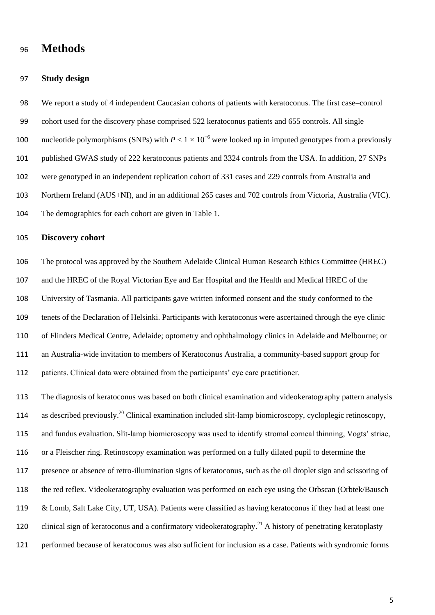### **Methods**

#### **Study design**

- We report a study of 4 independent Caucasian cohorts of patients with keratoconus. The first case–control
- cohort used for the discovery phase comprised 522 keratoconus patients and 655 controls. All single
- 100 nucleotide polymorphisms (SNPs) with  $P < 1 \times 10^{-6}$  were looked up in imputed genotypes from a previously
- published GWAS study of 222 keratoconus patients and 3324 controls from the USA. In addition, 27 SNPs
- were genotyped in an independent replication cohort of 331 cases and 229 controls from Australia and
- Northern Ireland (AUS+NI), and in an additional 265 cases and 702 controls from Victoria, Australia (VIC).
- The demographics for each cohort are given in Table 1.

#### **Discovery cohort**

 The protocol was approved by the Southern Adelaide Clinical Human Research Ethics Committee (HREC) and the HREC of the Royal Victorian Eye and Ear Hospital and the Health and Medical HREC of the University of Tasmania. All participants gave written informed consent and the study conformed to the tenets of the Declaration of Helsinki. Participants with keratoconus were ascertained through the eye clinic of Flinders Medical Centre, Adelaide; optometry and ophthalmology clinics in Adelaide and Melbourne; or an Australia-wide invitation to members of Keratoconus Australia, a community-based support group for patients. Clinical data were obtained from the participants' eye care practitioner.

 The diagnosis of keratoconus was based on both clinical examination and videokeratography pattern analysis 114 as described previously.<sup>20</sup> Clinical examination included slit-lamp biomicroscopy, cycloplegic retinoscopy, and fundus evaluation. Slit-lamp biomicroscopy was used to identify stromal corneal thinning, Vogts' striae, or a Fleischer ring. Retinoscopy examination was performed on a fully dilated pupil to determine the presence or absence of retro-illumination signs of keratoconus, such as the oil droplet sign and scissoring of the red reflex. Videokeratography evaluation was performed on each eye using the Orbscan (Orbtek/Bausch & Lomb, Salt Lake City, UT, USA). Patients were classified as having keratoconus if they had at least one 120 clinical sign of keratoconus and a confirmatory videokeratography.<sup>21</sup> A history of penetrating keratoplasty performed because of keratoconus was also sufficient for inclusion as a case. Patients with syndromic forms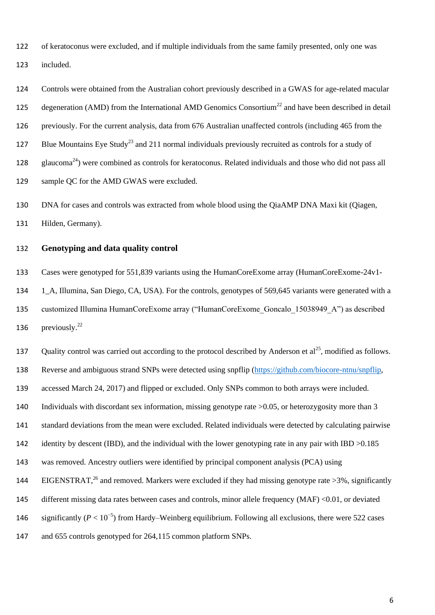of keratoconus were excluded, and if multiple individuals from the same family presented, only one was included.

 Controls were obtained from the Australian cohort previously described in a GWAS for age-related macular 125 degeneration (AMD) from the International AMD Genomics Consortium<sup>22</sup> and have been described in detail previously. For the current analysis, data from 676 Australian unaffected controls (including 465 from the 127 Blue Mountains Eye Study<sup>23</sup> and 211 normal individuals previously recruited as controls for a study of 128 glaucoma<sup>24</sup>) were combined as controls for keratoconus. Related individuals and those who did not pass all sample QC for the AMD GWAS were excluded.

 DNA for cases and controls was extracted from whole blood using the QiaAMP DNA Maxi kit (Qiagen, Hilden, Germany).

### **Genotyping and data quality control**

Cases were genotyped for 551,839 variants using the HumanCoreExome array (HumanCoreExome-24v1-

 1\_A, Illumina, San Diego, CA, USA). For the controls, genotypes of 569,645 variants were generated with a customized Illumina HumanCoreExome array ("HumanCoreExome\_Goncalo\_15038949\_A") as described 136 previously.<sup>22</sup>

137 Ouality control was carried out according to the protocol described by Anderson et  $al^{25}$ , modified as follows.

Reverse and ambiguous strand SNPs were detected using snpflip [\(https://github.com/biocore-ntnu/snpflip,](https://github.com/biocore-ntnu/snpflip)

accessed March 24, 2017) and flipped or excluded. Only SNPs common to both arrays were included.

Individuals with discordant sex information, missing genotype rate >0.05, or heterozygosity more than 3

standard deviations from the mean were excluded. Related individuals were detected by calculating pairwise

142 identity by descent (IBD), and the individual with the lower genotyping rate in any pair with IBD  $>0.185$ 

was removed. Ancestry outliers were identified by principal component analysis (PCA) using

144 EIGENSTRAT,<sup>26</sup> and removed. Markers were excluded if they had missing genotype rate >3%, significantly

different missing data rates between cases and controls, minor allele frequency (MAF) <0.01, or deviated

146 significantly ( $P < 10^{-5}$ ) from Hardy–Weinberg equilibrium. Following all exclusions, there were 522 cases

and 655 controls genotyped for 264,115 common platform SNPs.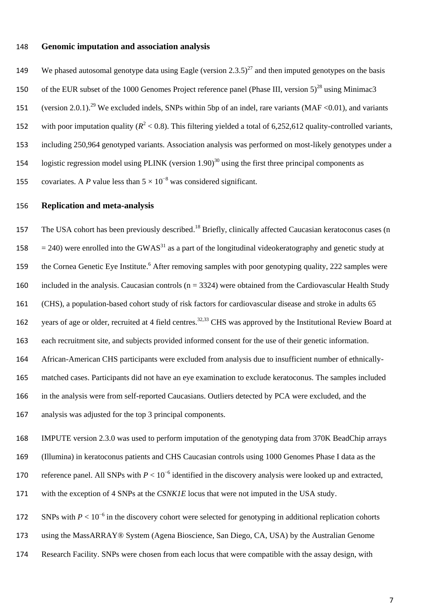#### 148 **Genomic imputation and association analysis**

149 We phased autosomal genotype data using Eagle (version  $2.3.5$ )<sup>27</sup> and then imputed genotypes on the basis 150 of the EUR subset of the 1000 Genomes Project reference panel (Phase III, version  $5)^{28}$  using Minimac3 151 (version 2.0.1).<sup>29</sup> We excluded indels, SNPs within 5bp of an indel, rare variants (MAF <0.01), and variants 152 with poor imputation quality ( $R^2$  < 0.8). This filtering yielded a total of 6,252,612 quality-controlled variants, 153 including 250,964 genotyped variants. Association analysis was performed on most-likely genotypes under a 154 logistic regression model using PLINK (version  $1.90$ )<sup>30</sup> using the first three principal components as 155 covariates. A *P* value less than  $5 \times 10^{-8}$  was considered significant.

#### 156 **Replication and meta-analysis**

157 The USA cohort has been previously described.<sup>18</sup> Briefly, clinically affected Caucasian keratoconus cases (n  $= 240$ ) were enrolled into the GWAS<sup>31</sup> as a part of the longitudinal videokeratography and genetic study at 159 the Cornea Genetic Eye Institute.<sup>6</sup> After removing samples with poor genotyping quality, 222 samples were 160 included in the analysis. Caucasian controls ( $n = 3324$ ) were obtained from the Cardiovascular Health Study 161 (CHS), a population-based cohort study of risk factors for cardiovascular disease and stroke in adults 65 162 years of age or older, recruited at 4 field centres.<sup>32,33</sup> CHS was approved by the Institutional Review Board at 163 each recruitment site, and subjects provided informed consent for the use of their genetic information. 164 African-American CHS participants were excluded from analysis due to insufficient number of ethnically-165 matched cases. Participants did not have an eye examination to exclude keratoconus. The samples included 166 in the analysis were from self-reported Caucasians. Outliers detected by PCA were excluded, and the 167 analysis was adjusted for the top 3 principal components.

168 IMPUTE version 2.3.0 was used to perform imputation of the genotyping data from 370K BeadChip arrays 169 (Illumina) in keratoconus patients and CHS Caucasian controls using 1000 Genomes Phase I data as the 170 reference panel. All SNPs with  $P < 10^{-6}$  identified in the discovery analysis were looked up and extracted, 171 with the exception of 4 SNPs at the *CSNK1E* locus that were not imputed in the USA study. SNPs with  $P < 10^{-6}$  in the discovery cohort were selected for genotyping in additional replication cohorts

173 using the MassARRAY® System (Agena Bioscience, San Diego, CA, USA) by the Australian Genome

174 Research Facility. SNPs were chosen from each locus that were compatible with the assay design, with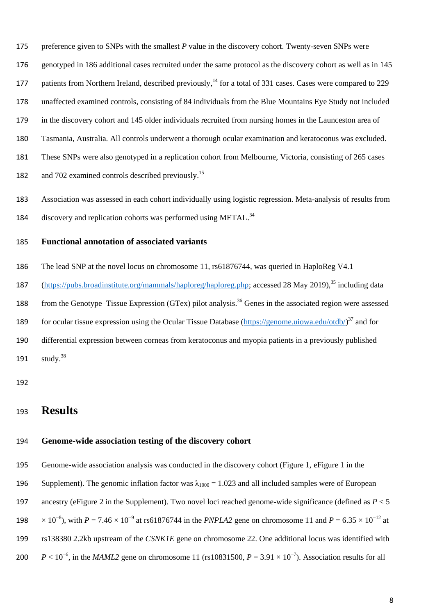preference given to SNPs with the smallest *P* value in the discovery cohort. Twenty-seven SNPs were

- genotyped in 186 additional cases recruited under the same protocol as the discovery cohort as well as in 145
- 177 patients from Northern Ireland, described previously,<sup>14</sup> for a total of 331 cases. Cases were compared to 229
- unaffected examined controls, consisting of 84 individuals from the Blue Mountains Eye Study not included
- in the discovery cohort and 145 older individuals recruited from nursing homes in the Launceston area of
- Tasmania, Australia. All controls underwent a thorough ocular examination and keratoconus was excluded.
- These SNPs were also genotyped in a replication cohort from Melbourne, Victoria, consisting of 265 cases
- 182 and 702 examined controls described previously.<sup>15</sup>
- Association was assessed in each cohort individually using logistic regression. Meta-analysis of results from 184 discovery and replication cohorts was performed using METAL.<sup>34</sup>

#### **Functional annotation of associated variants**

The lead SNP at the novel locus on chromosome 11, rs61876744, was queried in HaploReg V4.1

[\(https://pubs.broadinstitute.org/mammals/haploreg/haploreg.php;](https://pubs.broadinstitute.org/mammals/haploreg/haploreg.php) accessed 28 May 2019),<sup>35</sup> including data

- 188 from the Genotype–Tissue Expression (GTex) pilot analysis.<sup>36</sup> Genes in the associated region were assessed
- 189 for ocular tissue expression using the Ocular Tissue Database [\(https://genome.uiowa.edu/otdb/\)](https://genome.uiowa.edu/otdb/)<sup>37</sup> and for
- differential expression between corneas from keratoconus and myopia patients in a previously published 191  $\text{study.}^{38}$
- 

# **Results**

#### **Genome-wide association testing of the discovery cohort**

- Genome-wide association analysis was conducted in the discovery cohort (Figure 1, eFigure 1 in the
- 196 Supplement). The genomic inflation factor was  $\lambda_{1000} = 1.023$  and all included samples were of European
- ancestry (eFigure 2 in the Supplement). Two novel loci reached genome-wide significance (defined as *P* < 5
- 198  $\times 10^{-8}$ ), with  $P = 7.46 \times 10^{-9}$  at rs61876744 in the *PNPLA2* gene on chromosome 11 and  $P = 6.35 \times 10^{-12}$  at
- rs138380 2.2kb upstream of the *CSNK1E* gene on chromosome 22. One additional locus was identified with
- 200  $P < 10^{-6}$ , in the *MAML2* gene on chromosome 11 (rs10831500,  $P = 3.91 \times 10^{-7}$ ). Association results for all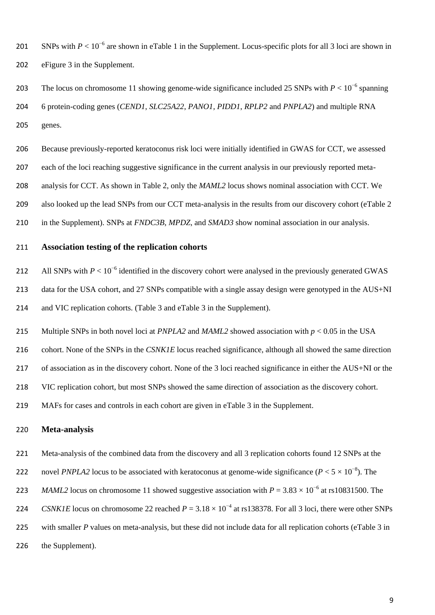SNPs with  $P < 10^{-6}$  are shown in eTable 1 in the Supplement. Locus-specific plots for all 3 loci are shown in eFigure 3 in the Supplement.

The locus on chromosome 11 showing genome-wide significance included 25 SNPs with  $P < 10^{-6}$  spanning 6 protein-coding genes (*CEND1*, *SLC25A22*, *PANO1, PIDD1*, *RPLP2* and *PNPLA2*) and multiple RNA genes.

Because previously-reported keratoconus risk loci were initially identified in GWAS for CCT, we assessed

each of the loci reaching suggestive significance in the current analysis in our previously reported meta-

analysis for CCT. As shown in Table 2, only the *MAML2* locus shows nominal association with CCT. We

209 also looked up the lead SNPs from our CCT meta-analysis in the results from our discovery cohort (eTable 2

in the Supplement). SNPs at *FNDC3B*, *MPDZ*, and *SMAD3* show nominal association in our analysis.

### **Association testing of the replication cohorts**

212 All SNPs with  $P < 10^{-6}$  identified in the discovery cohort were analysed in the previously generated GWAS

213 data for the USA cohort, and 27 SNPs compatible with a single assay design were genotyped in the AUS+NI

and VIC replication cohorts. (Table 3 and eTable 3 in the Supplement).

Multiple SNPs in both novel loci at *PNPLA2* and *MAML2* showed association with *p* < 0.05 in the USA

cohort. None of the SNPs in the *CSNK1E* locus reached significance, although all showed the same direction

of association as in the discovery cohort. None of the 3 loci reached significance in either the AUS+NI or the

VIC replication cohort, but most SNPs showed the same direction of association as the discovery cohort.

MAFs for cases and controls in each cohort are given in eTable 3 in the Supplement.

### **Meta-analysis**

- Meta-analysis of the combined data from the discovery and all 3 replication cohorts found 12 SNPs at the
- 222 novel *PNPLA2* locus to be associated with keratoconus at genome-wide significance ( $P < 5 \times 10^{-8}$ ). The
- 223 *MAML2* locus on chromosome 11 showed suggestive association with  $P = 3.83 \times 10^{-6}$  at rs10831500. The

224 *CSNK1E* locus on chromosome 22 reached  $P = 3.18 \times 10^{-4}$  at rs138378. For all 3 loci, there were other SNPs

225 with smaller *P* values on meta-analysis, but these did not include data for all replication cohorts (eTable 3 in

the Supplement).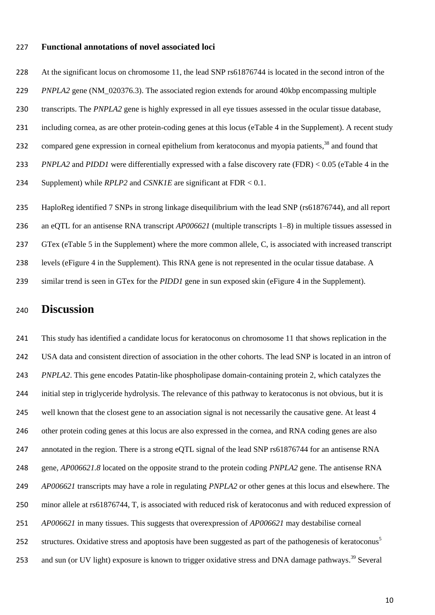#### **Functional annotations of novel associated loci**

 At the significant locus on chromosome 11, the lead SNP rs61876744 is located in the second intron of the *PNPLA2* gene (NM\_020376.3). The associated region extends for around 40kbp encompassing multiple 230 transcripts. The *PNPLA2* gene is highly expressed in all eye tissues assessed in the ocular tissue database, including cornea, as are other protein-coding genes at this locus (eTable 4 in the Supplement). A recent study 232 compared gene expression in corneal epithelium from keratoconus and myopia patients,<sup>38</sup> and found that *PNPLA2* and *PIDD1* were differentially expressed with a false discovery rate (FDR) < 0.05 (eTable 4 in the Supplement) while *RPLP2* and *CSNK1E* are significant at FDR < 0.1. HaploReg identified 7 SNPs in strong linkage disequilibrium with the lead SNP (rs61876744), and all report

an eQTL for an antisense RNA transcript *AP006621* (multiple transcripts 1–8) in multiple tissues assessed in

GTex (eTable 5 in the Supplement) where the more common allele, C, is associated with increased transcript

levels (eFigure 4 in the Supplement). This RNA gene is not represented in the ocular tissue database. A

similar trend is seen in GTex for the *PIDD1* gene in sun exposed skin (eFigure 4 in the Supplement).

## **Discussion**

 This study has identified a candidate locus for keratoconus on chromosome 11 that shows replication in the USA data and consistent direction of association in the other cohorts. The lead SNP is located in an intron of *PNPLA2*. This gene encodes Patatin-like phospholipase domain-containing protein 2, which catalyzes the initial step in triglyceride hydrolysis. The relevance of this pathway to keratoconus is not obvious, but it is 245 well known that the closest gene to an association signal is not necessarily the causative gene. At least 4 other protein coding genes at this locus are also expressed in the cornea, and RNA coding genes are also annotated in the region. There is a strong eQTL signal of the lead SNP rs61876744 for an antisense RNA gene, *AP006621.8* located on the opposite strand to the protein coding *PNPLA2* gene. The antisense RNA *AP006621* transcripts may have a role in regulating *PNPLA2* or other genes at this locus and elsewhere. The minor allele at rs61876744, T, is associated with reduced risk of keratoconus and with reduced expression of *AP006621* in many tissues. This suggests that overexpression of *AP006621* may destabilise corneal structures. Oxidative stress and apoptosis have been suggested as part of the pathogenesis of keratoconus<sup>5</sup> 253 and sun (or UV light) exposure is known to trigger oxidative stress and DNA damage pathways.<sup>39</sup> Several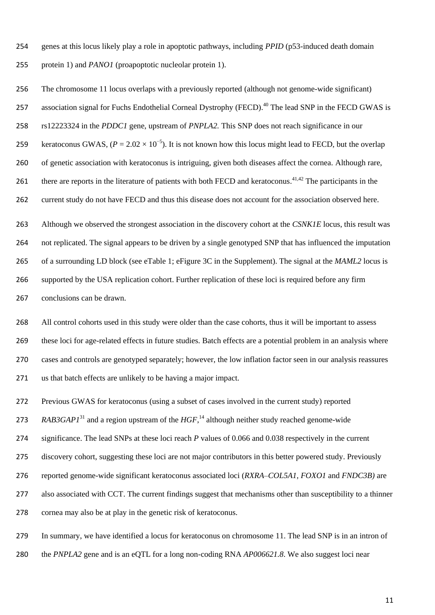genes at this locus likely play a role in apoptotic pathways, including *PPID* (p53-induced death domain protein 1) and *PANO1* (proapoptotic nucleolar protein 1).

 The chromosome 11 locus overlaps with a previously reported (although not genome-wide significant) 257 association signal for Fuchs Endothelial Corneal Dystrophy (FECD).<sup>40</sup> The lead SNP in the FECD GWAS is rs12223324 in the *PDDC1* gene, upstream of *PNPLA2.* This SNP does not reach significance in our 259 keratoconus GWAS,  $(P = 2.02 \times 10^{-5})$ . It is not known how this locus might lead to FECD, but the overlap of genetic association with keratoconus is intriguing, given both diseases affect the cornea. Although rare, 261 there are reports in the literature of patients with both FECD and keratoconus.<sup>41,42</sup> The participants in the current study do not have FECD and thus this disease does not account for the association observed here. Although we observed the strongest association in the discovery cohort at the *CSNK1E* locus, this result was

 not replicated. The signal appears to be driven by a single genotyped SNP that has influenced the imputation of a surrounding LD block (see eTable 1; eFigure 3C in the Supplement). The signal at the *MAML2* locus is supported by the USA replication cohort. Further replication of these loci is required before any firm conclusions can be drawn.

268 All control cohorts used in this study were older than the case cohorts, thus it will be important to assess these loci for age-related effects in future studies. Batch effects are a potential problem in an analysis where cases and controls are genotyped separately; however, the low inflation factor seen in our analysis reassures us that batch effects are unlikely to be having a major impact.

Previous GWAS for keratoconus (using a subset of cases involved in the current study) reported

273 RAB3GAP1<sup>31</sup> and a region upstream of the  $HGF$ ,<sup>14</sup> although neither study reached genome-wide

significance. The lead SNPs at these loci reach *P* values of 0.066 and 0.038 respectively in the current

discovery cohort, suggesting these loci are not major contributors in this better powered study. Previously

reported genome-wide significant keratoconus associated loci (*RXRA*–*COL5A1, FOXO1* and *FNDC3B)* are

also associated with CCT. The current findings suggest that mechanisms other than susceptibility to a thinner

cornea may also be at play in the genetic risk of keratoconus.

 In summary, we have identified a locus for keratoconus on chromosome 11. The lead SNP is in an intron of the *PNPLA2* gene and is an eQTL for a long non-coding RNA *AP006621.8*. We also suggest loci near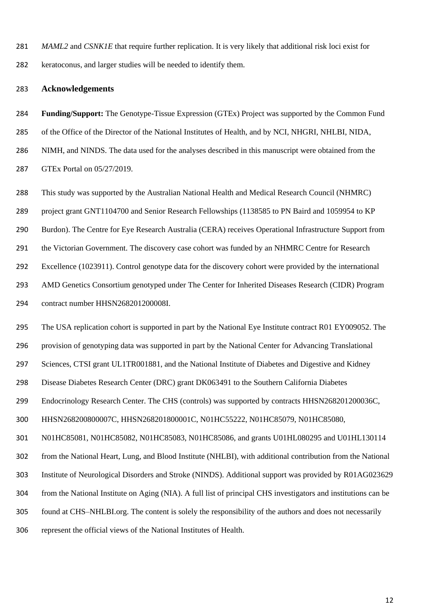*MAML2* and *CSNK1E* that require further replication. It is very likely that additional risk loci exist for keratoconus, and larger studies will be needed to identify them.

#### **Acknowledgements**

 **Funding/Support:** The Genotype-Tissue Expression (GTEx) Project was supported by the Common Fund of the Office of the Director of the National Institutes of Health, and by NCI, NHGRI, NHLBI, NIDA, NIMH, and NINDS. The data used for the analyses described in this manuscript were obtained from the GTEx Portal on 05/27/2019.

This study was supported by the Australian National Health and Medical Research Council (NHMRC)

project grant GNT1104700 and Senior Research Fellowships (1138585 to PN Baird and 1059954 to KP

Burdon). The Centre for Eye Research Australia (CERA) receives Operational Infrastructure Support from

the Victorian Government. The discovery case cohort was funded by an NHMRC Centre for Research

Excellence (1023911). Control genotype data for the discovery cohort were provided by the international

 AMD Genetics Consortium genotyped under The Center for Inherited Diseases Research (CIDR) Program contract number HHSN268201200008I.

The USA replication cohort is supported in part by the National Eye Institute contract R01 EY009052. The

provision of genotyping data was supported in part by the National Center for Advancing Translational

Sciences, CTSI grant UL1TR001881, and the National Institute of Diabetes and Digestive and Kidney

Disease Diabetes Research Center (DRC) grant DK063491 to the Southern California Diabetes

Endocrinology Research Center. The CHS (controls) was supported by contracts HHSN268201200036C,

HHSN268200800007C, HHSN268201800001C, N01HC55222, N01HC85079, N01HC85080,

N01HC85081, N01HC85082, N01HC85083, N01HC85086, and grants U01HL080295 and U01HL130114

from the National Heart, Lung, and Blood Institute (NHLBI), with additional contribution from the National

Institute of Neurological Disorders and Stroke (NINDS). Additional support was provided by R01AG023629

from the National Institute on Aging (NIA). A full list of principal CHS investigators and institutions can be

found at CHS–NHLBI.org. The content is solely the responsibility of the authors and does not necessarily

represent the official views of the National Institutes of Health.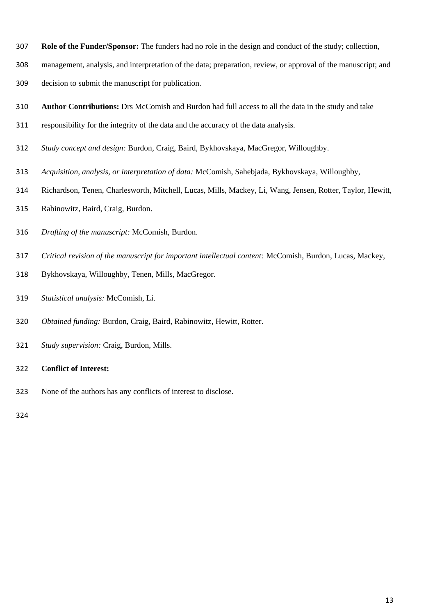- **Role of the Funder/Sponsor:** The funders had no role in the design and conduct of the study; collection,
- management, analysis, and interpretation of the data; preparation, review, or approval of the manuscript; and
- decision to submit the manuscript for publication.
- **Author Contributions:** Drs McComish and Burdon had full access to all the data in the study and take
- responsibility for the integrity of the data and the accuracy of the data analysis.
- *Study concept and design:* Burdon, Craig, Baird, Bykhovskaya, MacGregor, Willoughby.
- *Acquisition, analysis, or interpretation of data:* McComish, Sahebjada, Bykhovskaya, Willoughby,
- Richardson, Tenen, Charlesworth, Mitchell, Lucas, Mills, Mackey, Li, Wang, Jensen, Rotter, Taylor, Hewitt,
- Rabinowitz, Baird, Craig, Burdon.
- *Drafting of the manuscript:* McComish, Burdon.
- *Critical revision of the manuscript for important intellectual content:* McComish, Burdon, Lucas, Mackey,
- Bykhovskaya, Willoughby, Tenen, Mills, MacGregor.
- *Statistical analysis:* McComish, Li.
- *Obtained funding:* Burdon, Craig, Baird, Rabinowitz, Hewitt, Rotter.
- *Study supervision:* Craig, Burdon, Mills.

#### **Conflict of Interest:**

None of the authors has any conflicts of interest to disclose.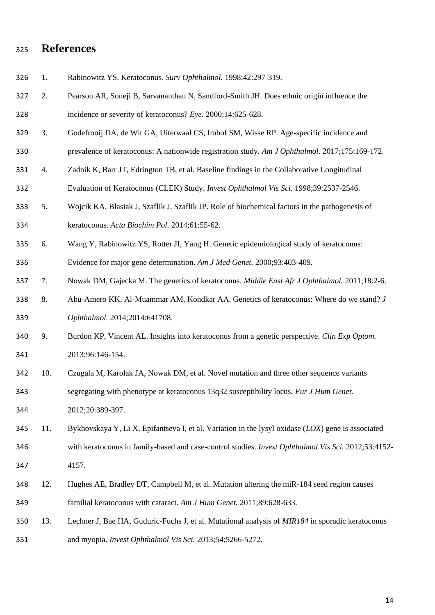# **References**

- 1. Rabinowitz YS. Keratoconus. *Surv Ophthalmol.* 1998;42:297-319.
- 2. Pearson AR, Soneji B, Sarvananthan N, Sandford-Smith JH. Does ethnic origin influence the incidence or severity of keratoconus? *Eye.* 2000;14:625-628.
- 3. Godefrooij DA, de Wit GA, Uiterwaal CS, Imhof SM, Wisse RP. Age-specific incidence and
- prevalence of keratoconus: A nationwide registration study. *Am J Ophthalmol.* 2017;175:169-172.
- 4. Zadnik K, Barr JT, Edrington TB, et al. Baseline findings in the Collaborative Longitudinal Evaluation of Keratoconus (CLEK) Study. *Invest Ophthalmol Vis Sci.* 1998;39:2537-2546.
- 5. Wojcik KA, Blasiak J, Szaflik J, Szaflik JP. Role of biochemical factors in the pathogenesis of
- keratoconus. *Acta Biochim Pol.* 2014;61:55-62.
- 6. Wang Y, Rabinowitz YS, Rotter JI, Yang H. Genetic epidemiological study of keratoconus: Evidence for major gene determination. *Am J Med Genet.* 2000;93:403-409.
- 7. Nowak DM, Gajecka M. The genetics of keratoconus. *Middle East Afr J Ophthalmol.* 2011;18:2-6.
- 8. Abu-Amero KK, Al-Muammar AM, Kondkar AA. Genetics of keratoconus: Where do we stand? *J Ophthalmol.* 2014;2014:641708.
- 9. Burdon KP, Vincent AL. Insights into keratoconus from a genetic perspective. *Clin Exp Optom.*  2013;96:146-154.
- 10. Czugala M, Karolak JA, Nowak DM, et al. Novel mutation and three other sequence variants segregating with phenotype at keratoconus 13q32 susceptibility locus. *Eur J Hum Genet.*  2012;20:389-397.
- 11. Bykhovskaya Y, Li X, Epifantseva I, et al. Variation in the lysyl oxidase (*LOX*) gene is associated with keratoconus in family-based and case-control studies. *Invest Ophthalmol Vis Sci.* 2012;53:4152-
- 4157.
- 12. Hughes AE, Bradley DT, Campbell M, et al. Mutation altering the miR-184 seed region causes familial keratoconus with cataract. *Am J Hum Genet.* 2011;89:628-633.
- 13. Lechner J, Bae HA, Guduric-Fuchs J, et al. Mutational analysis of *MIR184* in sporadic keratoconus and myopia. *Invest Ophthalmol Vis Sci.* 2013;54:5266-5272.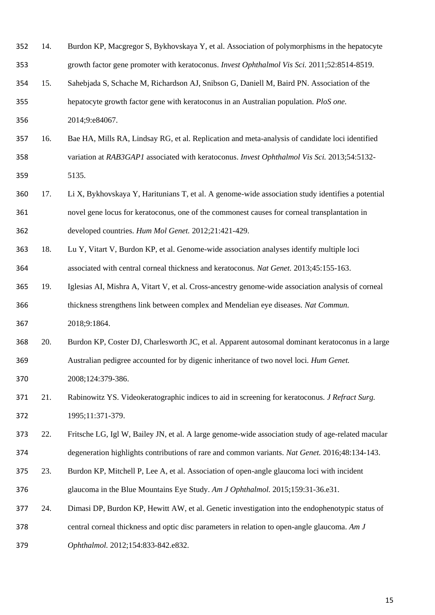| 352 | 14. | Burdon KP, Macgregor S, Bykhovskaya Y, et al. Association of polymorphisms in the hepatocyte       |
|-----|-----|----------------------------------------------------------------------------------------------------|
| 353 |     | growth factor gene promoter with keratoconus. <i>Invest Ophthalmol Vis Sci.</i> 2011;52:8514-8519. |

- 15. Sahebjada S, Schache M, Richardson AJ, Snibson G, Daniell M, Baird PN. Association of the hepatocyte growth factor gene with keratoconus in an Australian population. *PloS one.*  2014;9:e84067.
- 16. Bae HA, Mills RA, Lindsay RG, et al. Replication and meta-analysis of candidate loci identified variation at *RAB3GAP1* associated with keratoconus. *Invest Ophthalmol Vis Sci.* 2013;54:5132- 5135.
- 17. Li X, Bykhovskaya Y, Haritunians T, et al. A genome-wide association study identifies a potential novel gene locus for keratoconus, one of the commonest causes for corneal transplantation in developed countries. *Hum Mol Genet.* 2012;21:421-429.
- 18. Lu Y, Vitart V, Burdon KP, et al. Genome-wide association analyses identify multiple loci associated with central corneal thickness and keratoconus. *Nat Genet.* 2013;45:155-163.
- 19. Iglesias AI, Mishra A, Vitart V, et al. Cross-ancestry genome-wide association analysis of corneal thickness strengthens link between complex and Mendelian eye diseases. *Nat Commun.*
- 2018;9:1864.
- 20. Burdon KP, Coster DJ, Charlesworth JC, et al. Apparent autosomal dominant keratoconus in a large Australian pedigree accounted for by digenic inheritance of two novel loci. *Hum Genet.*  2008;124:379-386.
- 21. Rabinowitz YS. Videokeratographic indices to aid in screening for keratoconus. *J Refract Surg.*  1995;11:371-379.
- 22. Fritsche LG, Igl W, Bailey JN, et al. A large genome-wide association study of age-related macular degeneration highlights contributions of rare and common variants. *Nat Genet.* 2016;48:134-143.
- 23. Burdon KP, Mitchell P, Lee A, et al. Association of open-angle glaucoma loci with incident
- glaucoma in the Blue Mountains Eye Study. *Am J Ophthalmol.* 2015;159:31-36.e31.
- 24. Dimasi DP, Burdon KP, Hewitt AW, et al. Genetic investigation into the endophenotypic status of
- central corneal thickness and optic disc parameters in relation to open-angle glaucoma. *Am J*
- *Ophthalmol.* 2012;154:833-842.e832.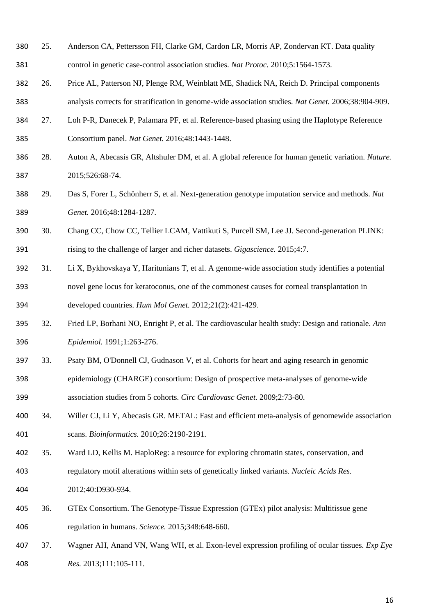- 25. Anderson CA, Pettersson FH, Clarke GM, Cardon LR, Morris AP, Zondervan KT. Data quality
- control in genetic case-control association studies. *Nat Protoc.* 2010;5:1564-1573.
- 26. Price AL, Patterson NJ, Plenge RM, Weinblatt ME, Shadick NA, Reich D. Principal components analysis corrects for stratification in genome-wide association studies. *Nat Genet.* 2006;38:904-909.
- 27. Loh P-R, Danecek P, Palamara PF, et al. Reference-based phasing using the Haplotype Reference Consortium panel. *Nat Genet.* 2016;48:1443-1448.
- 28. Auton A, Abecasis GR, Altshuler DM, et al. A global reference for human genetic variation. *Nature.*  2015;526:68-74.
- 29. Das S, Forer L, Schönherr S, et al. Next-generation genotype imputation service and methods. *Nat Genet.* 2016;48:1284-1287.
- 30. Chang CC, Chow CC, Tellier LCAM, Vattikuti S, Purcell SM, Lee JJ. Second-generation PLINK: rising to the challenge of larger and richer datasets. *Gigascience.* 2015;4:7.
- 31. Li X, Bykhovskaya Y, Haritunians T, et al. A genome-wide association study identifies a potential novel gene locus for keratoconus, one of the commonest causes for corneal transplantation in developed countries. *Hum Mol Genet.* 2012;21(2):421-429.
- 32. Fried LP, Borhani NO, Enright P, et al. The cardiovascular health study: Design and rationale. *Ann Epidemiol.* 1991;1:263-276.
- 33. Psaty BM, O'Donnell CJ, Gudnason V, et al. Cohorts for heart and aging research in genomic epidemiology (CHARGE) consortium: Design of prospective meta-analyses of genome-wide
- association studies from 5 cohorts. *Circ Cardiovasc Genet.* 2009;2:73-80.
- 34. Willer CJ, Li Y, Abecasis GR. METAL: Fast and efficient meta-analysis of genomewide association scans. *Bioinformatics.* 2010;26:2190-2191.
- 35. Ward LD, Kellis M. HaploReg: a resource for exploring chromatin states, conservation, and regulatory motif alterations within sets of genetically linked variants. *Nucleic Acids Res.*
- 2012;40:D930-934.
- 36. GTEx Consortium. The Genotype-Tissue Expression (GTEx) pilot analysis: Multitissue gene regulation in humans. *Science.* 2015;348:648-660.
- 37. Wagner AH, Anand VN, Wang WH, et al. Exon-level expression profiling of ocular tissues. *Exp Eye Res.* 2013;111:105-111.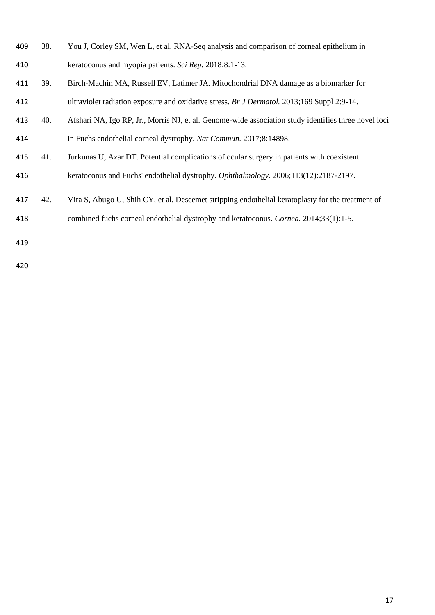| 409 | You J, Corley SM, Wen L, et al. RNA-Seq analysis and comparison of corneal epithelium in |
|-----|------------------------------------------------------------------------------------------|
| 410 | keratoconus and myopia patients. Sci Rep. 2018;8:1-13.                                   |

- 39. Birch-Machin MA, Russell EV, Latimer JA. Mitochondrial DNA damage as a biomarker for ultraviolet radiation exposure and oxidative stress. *Br J Dermatol.* 2013;169 Suppl 2:9-14.
- 40. Afshari NA, Igo RP, Jr., Morris NJ, et al. Genome-wide association study identifies three novel loci in Fuchs endothelial corneal dystrophy. *Nat Commun.* 2017;8:14898.
- 41. Jurkunas U, Azar DT. Potential complications of ocular surgery in patients with coexistent
- keratoconus and Fuchs' endothelial dystrophy. *Ophthalmology.* 2006;113(12):2187-2197.
- 42. Vira S, Abugo U, Shih CY, et al. Descemet stripping endothelial keratoplasty for the treatment of
- combined fuchs corneal endothelial dystrophy and keratoconus. *Cornea.* 2014;33(1):1-5.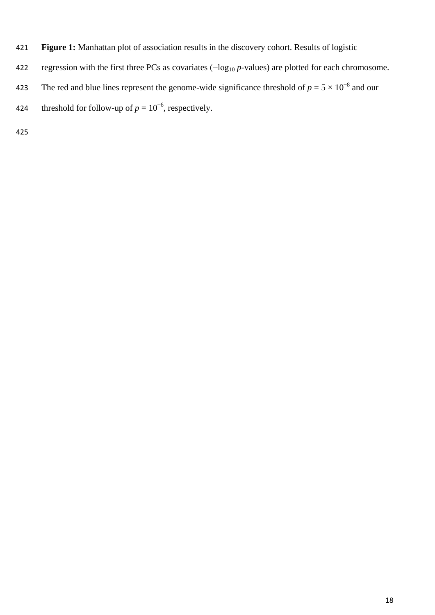- **Figure 1:** Manhattan plot of association results in the discovery cohort. Results of logistic
- regression with the first three PCs as covariates (−log<sup>10</sup> *p*-values) are plotted for each chromosome.
- The red and blue lines represent the genome-wide significance threshold of  $p = 5 \times 10^{-8}$  and our
- 424 threshold for follow-up of  $p = 10^{-6}$ , respectively.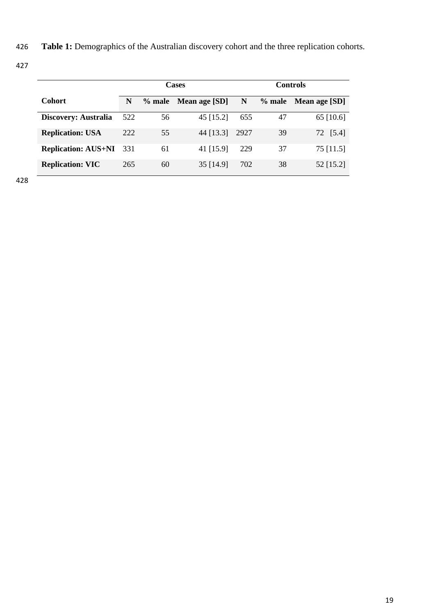426 **Table 1:** Demographics of the Australian discovery cohort and the three replication cohorts.

|                            |     |        | <b>Cases</b>  | <b>Controls</b> |          |               |  |  |
|----------------------------|-----|--------|---------------|-----------------|----------|---------------|--|--|
| <b>Cohort</b>              | N   | % male | Mean age [SD] | N               | $%$ male | Mean age [SD] |  |  |
| Discovery: Australia       | 522 | 56     | 45 [15.2]     | 655             | 47       | 65 [10.6]     |  |  |
| <b>Replication: USA</b>    | 222 | 55     | 44 [13.3]     | 2927            | 39       | 72 [5.4]      |  |  |
| <b>Replication: AUS+NI</b> | 331 | 61     | 41 [15.9]     | 229             | 37       | 75 [11.5]     |  |  |
| <b>Replication: VIC</b>    | 265 | 60     | 35 [14.9]     | 702             | 38       | 52 [15.2]     |  |  |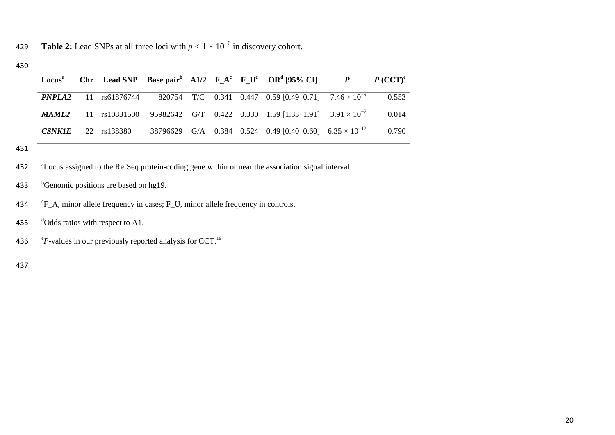**Table 2:** Lead SNPs at all three loci with  $p < 1 \times 10^{-6}$  in discovery cohort.

| $Locus^a$     |             |  |  | Chr Lead SNP Base pair <sup>b</sup> A1/2 $F_A^c$ $F_U^c$ OR <sup>d</sup> [95% CI] $P$ $P (CCT)^e$ |       |
|---------------|-------------|--|--|---------------------------------------------------------------------------------------------------|-------|
| <i>PNPLA2</i> |             |  |  | 11 rs61876744 820754 T/C 0.341 0.447 0.59 [0.49-0.71] $7.46 \times 10^{-9}$                       | 0.553 |
| MAML2         |             |  |  | 11 rs10831500 95982642 G/T 0.422 0.330 1.59 [1.33-1.91] $3.91 \times 10^{-7}$                     | 0.014 |
| <i>CSNK1E</i> | 22 rs138380 |  |  | 38796629 G/A 0.384 0.524 0.49 [0.40–0.60] $6.35 \times 10^{-12}$                                  | 0.790 |

431

- 432 <sup>a</sup> Locus assigned to the RefSeq protein-coding gene within or near the association signal interval.
- 433 bGenomic positions are based on hg19.
- 434 <sup>c</sup>F\_A, minor allele frequency in cases; F\_U, minor allele frequency in controls.
- 435  $\mathrm{d}$ Odds ratios with respect to A1.
- 436 <sup>e</sup>P-values in our previously reported analysis for CCT.<sup>19</sup>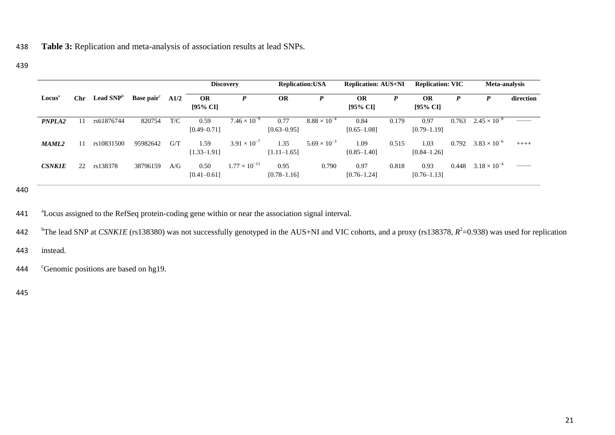### 438 **Table 3:** Replication and meta-analysis of association results at lead SNPs.

#### 439

|                    |            |                       |                        |      |                         | <b>Replication: USA</b><br><b>Discovery</b> |                         |                       | <b>Replication: AUS+NI</b> |       | <b>Replication: VIC</b>          |       | Meta-analysis         |           |
|--------------------|------------|-----------------------|------------------------|------|-------------------------|---------------------------------------------|-------------------------|-----------------------|----------------------------|-------|----------------------------------|-------|-----------------------|-----------|
| Locus <sup>a</sup> | <b>Chr</b> | Lead SNP <sup>b</sup> | Base pair <sup>c</sup> | A1/2 | <b>OR</b><br>$195\%$ CI |                                             | <b>OR</b>               | $\boldsymbol{P}$      | OR<br>[95% CI]             | P     | <b>OR</b><br>$[95\% \text{ CI}]$ | P     | P                     | direction |
| <b>PNPLA2</b>      | 11         | rs61876744            | 820754                 | T/C  | 0.59<br>$[0.49 - 0.71]$ | $7.46 \times 10^{-9}$                       | 0.77<br>$[0.63 - 0.95]$ | $8.88 \times 10^{-4}$ | 0.84<br>$[0.65 - 1.08]$    | 0.179 | 0.97<br>$[0.79 - 1.19]$          | 0.763 | $2.45 \times 10^{-8}$ | $---$     |
| <b>MAML2</b>       | 11         | rs10831500            | 95982642               | G/T  | 1.59<br>$[1.33 - 1.91]$ | $3.91 \times 10^{-7}$                       | 1.35<br>$[1.11 - 1.65]$ | $5.69 \times 10^{-3}$ | 1.09<br>$[0.85 - 1.40]$    | 0.515 | 1.03<br>$[0.84 - 1.26]$          | 0.792 | $3.83 \times 10^{-6}$ | $++++$    |
| <b>CSNK1E</b>      | 22         | rs138378              | 38796159               | A/G  | 0.50<br>$[0.41 - 0.61]$ | $1.77 \times 10^{-11}$                      | 0.95<br>$[0.78 - 1.16]$ | 0.790                 | 0.97<br>$[0.76 - 1.24]$    | 0.818 | 0.93<br>$[0.76 - 1.13]$          | 0.448 | $3.18 \times 10^{-4}$ | $---$     |

440

441 • <sup>a</sup>Locus assigned to the RefSeq protein-coding gene within or near the association signal interval.

<sup>b</sup>The lead SNP at *CSNK1E* (rs138380) was not successfully genotyped in the AUS+NI and VIC cohorts, and a proxy (rs138378,  $R^2$ =0.938) was used for replication

443 instead.

444 Genomic positions are based on hg19.